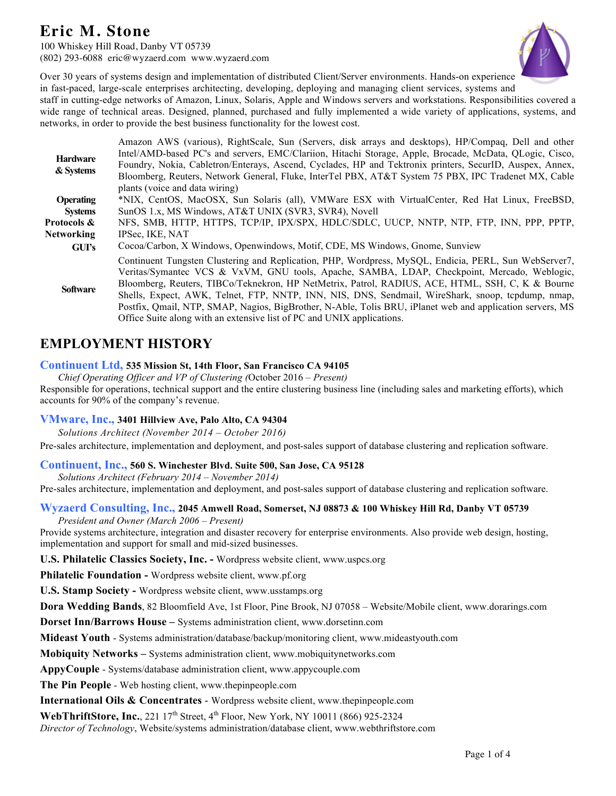100 Whiskey Hill Road, Danby VT 05739 (802) 293-6088 eric@wyzaerd.com www.wyzaerd.com



Over 30 years of systems design and implementation of distributed Client/Server environments. Hands-on experience in fast-paced, large-scale enterprises architecting, developing, deploying and managing client services, systems and

staff in cutting-edge networks of Amazon, Linux, Solaris, Apple and Windows servers and workstations. Responsibilities covered a wide range of technical areas. Designed, planned, purchased and fully implemented a wide variety of applications, systems, and networks, in order to provide the best business functionality for the lowest cost.

| <b>Hardware</b><br>& Systems | Amazon AWS (various), RightScale, Sun (Servers, disk arrays and desktops), HP/Compaq, Dell and other<br>Intel/AMD-based PC's and servers, EMC/Clariion, Hitachi Storage, Apple, Brocade, McData, QLogic, Cisco,                                                                                                                                                                                                                                                                                                                                                                                      |
|------------------------------|------------------------------------------------------------------------------------------------------------------------------------------------------------------------------------------------------------------------------------------------------------------------------------------------------------------------------------------------------------------------------------------------------------------------------------------------------------------------------------------------------------------------------------------------------------------------------------------------------|
|                              | Foundry, Nokia, Cabletron/Enterays, Ascend, Cyclades, HP and Tektronix printers, SecurID, Auspex, Annex,                                                                                                                                                                                                                                                                                                                                                                                                                                                                                             |
|                              | Bloomberg, Reuters, Network General, Fluke, InterTel PBX, AT&T System 75 PBX, IPC Tradenet MX, Cable<br>plants (voice and data wiring)                                                                                                                                                                                                                                                                                                                                                                                                                                                               |
| <b>Operating</b>             | *NIX, CentOS, MacOSX, Sun Solaris (all), VMWare ESX with VirtualCenter, Red Hat Linux, FreeBSD,                                                                                                                                                                                                                                                                                                                                                                                                                                                                                                      |
| <b>Systems</b>               | SunOS 1.x, MS Windows, AT&T UNIX (SVR3, SVR4), Novell                                                                                                                                                                                                                                                                                                                                                                                                                                                                                                                                                |
| Protocols &                  | NFS, SMB, HTTP, HTTPS, TCP/IP, IPX/SPX, HDLC/SDLC, UUCP, NNTP, NTP, FTP, INN, PPP, PPTP,                                                                                                                                                                                                                                                                                                                                                                                                                                                                                                             |
| <b>Networking</b>            | IPSec. IKE, NAT                                                                                                                                                                                                                                                                                                                                                                                                                                                                                                                                                                                      |
| GUI's                        | Cocoa/Carbon, X Windows, Openwindows, Motif, CDE, MS Windows, Gnome, Sunview                                                                                                                                                                                                                                                                                                                                                                                                                                                                                                                         |
| <b>Software</b>              | Continuent Tungsten Clustering and Replication, PHP, Wordpress, MySOL, Endicia, PERL, Sun WebServer7,<br>Veritas/Symantec VCS & VxVM, GNU tools, Apache, SAMBA, LDAP, Checkpoint, Mercado, Weblogic,<br>Bloomberg, Reuters, TIBCo/Teknekron, HP NetMetrix, Patrol, RADIUS, ACE, HTML, SSH, C, K & Bourne<br>Shells, Expect, AWK, Telnet, FTP, NNTP, INN, NIS, DNS, Sendmail, WireShark, snoop, tepdump, nmap,<br>Postfix, Qmail, NTP, SMAP, Nagios, BigBrother, N-Able, Tolis BRU, iPlanet web and application servers, MS<br>Office Suite along with an extensive list of PC and UNIX applications. |

# **EMPLOYMENT HISTORY**

# **Continuent Ltd, 535 Mission St, 14th Floor, San Francisco CA 94105**

*Chief Operating Officer and VP of Clustering (*October 2016 *– Present)*

Responsible for operations, technical support and the entire clustering business line (including sales and marketing efforts), which accounts for 90% of the company's revenue.

# **VMware, Inc., 3401 Hillview Ave, Palo Alto, CA 94304**

*Solutions Architect (November 2014 – October 2016)*

Pre-sales architecture, implementation and deployment, and post-sales support of database clustering and replication software.

# **Continuent, Inc., 560 S. Winchester Blvd. Suite 500, San Jose, CA 95128**

*Solutions Architect (February 2014 – November 2014)* Pre-sales architecture, implementation and deployment, and post-sales support of database clustering and replication software.

# **Wyzaerd Consulting, Inc., 2045 Amwell Road, Somerset, NJ 08873 & 100 Whiskey Hill Rd, Danby VT 05739**

*President and Owner (March 2006 – Present)*

Provide systems architecture, integration and disaster recovery for enterprise environments. Also provide web design, hosting, implementation and support for small and mid-sized businesses.

**U.S. Philatelic Classics Society, Inc. -** Wordpress website client, www.uspcs.org

**Philatelic Foundation -** Wordpress website client, www.pf.org

**U.S. Stamp Society -** Wordpress website client, www.usstamps.org

**Dora Wedding Bands**, 82 Bloomfield Ave, 1st Floor, Pine Brook, NJ 07058 – Website/Mobile client, www.dorarings.com

**Dorset Inn/Barrows House –** Systems administration client, www.dorsetinn.com

**Mideast Youth** - Systems administration/database/backup/monitoring client, www.mideastyouth.com

**Mobiquity Networks –** Systems administration client, www.mobiquitynetworks.com

**AppyCouple** - Systems/database administration client, www.appycouple.com

**The Pin People** - Web hosting client, www.thepinpeople.com

**International Oils & Concentrates** - Wordpress website client, www.thepinpeople.com

**WebThriftStore, Inc.**, 221  $17<sup>th</sup>$  Street,  $4<sup>th</sup>$  Floor, New York, NY 10011 (866) 925-2324

*Director of Technology*, Website/systems administration/database client, www.webthriftstore.com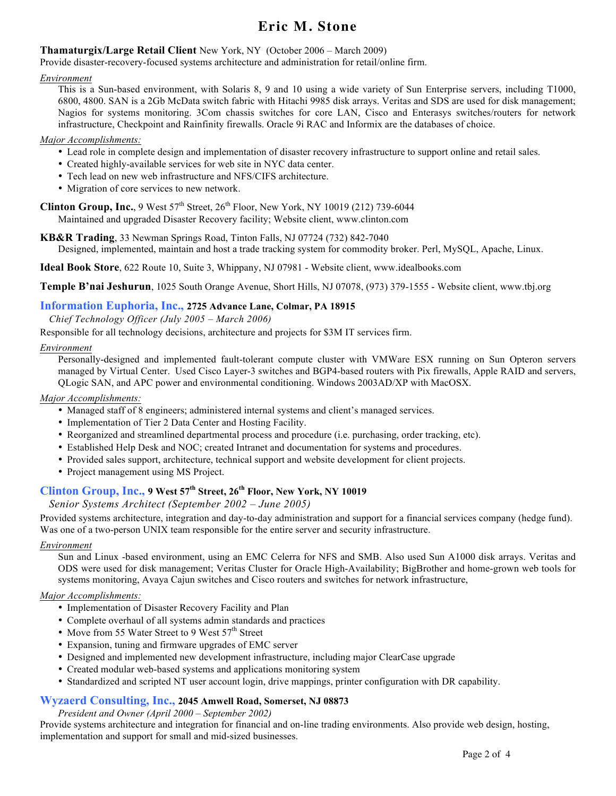# **Thamaturgix/Large Retail Client** New York, NY (October 2006 – March 2009)

Provide disaster-recovery-focused systems architecture and administration for retail/online firm.

#### *Environment*

This is a Sun-based environment, with Solaris 8, 9 and 10 using a wide variety of Sun Enterprise servers, including T1000, 6800, 4800. SAN is a 2Gb McData switch fabric with Hitachi 9985 disk arrays. Veritas and SDS are used for disk management; Nagios for systems monitoring. 3Com chassis switches for core LAN, Cisco and Enterasys switches/routers for network infrastructure, Checkpoint and Rainfinity firewalls. Oracle 9i RAC and Informix are the databases of choice.

#### *Major Accomplishments:*

- Lead role in complete design and implementation of disaster recovery infrastructure to support online and retail sales.
- Created highly-available services for web site in NYC data center.
- Tech lead on new web infrastructure and NFS/CIFS architecture.
- Migration of core services to new network.

**Clinton Group, Inc.**, 9 West  $57<sup>th</sup>$  Street,  $26<sup>th</sup>$  Floor, New York, NY 10019 (212) 739-6044

Maintained and upgraded Disaster Recovery facility; Website client, www.clinton.com

**KB&R Trading**, 33 Newman Springs Road, Tinton Falls, NJ 07724 (732) 842-7040 Designed, implemented, maintain and host a trade tracking system for commodity broker. Perl, MySQL, Apache, Linux.

**Ideal Book Store**, 622 Route 10, Suite 3, Whippany, NJ 07981 - Website client, www.idealbooks.com

**Temple B'nai Jeshurun**, 1025 South Orange Avenue, Short Hills, NJ 07078, (973) 379-1555 - Website client, www.tbj.org

### **Information Euphoria, Inc., 2725 Advance Lane, Colmar, PA 18915**

*Chief Technology Officer (July 2005 – March 2006)*

Responsible for all technology decisions, architecture and projects for \$3M IT services firm.

#### *Environment*

Personally-designed and implemented fault-tolerant compute cluster with VMWare ESX running on Sun Opteron servers managed by Virtual Center. Used Cisco Layer-3 switches and BGP4-based routers with Pix firewalls, Apple RAID and servers, QLogic SAN, and APC power and environmental conditioning. Windows 2003AD/XP with MacOSX.

#### *Major Accomplishments:*

- Managed staff of 8 engineers; administered internal systems and client's managed services.
- Implementation of Tier 2 Data Center and Hosting Facility.
- Reorganized and streamlined departmental process and procedure (i.e. purchasing, order tracking, etc).
- Established Help Desk and NOC; created Intranet and documentation for systems and procedures.
- Provided sales support, architecture, technical support and website development for client projects.
- Project management using MS Project.

# **Clinton Group, Inc., 9 West 57th Street, 26th Floor, New York, NY 10019**

### *Senior Systems Architect (September 2002 – June 2005)*

Provided systems architecture, integration and day-to-day administration and support for a financial services company (hedge fund). Was one of a two-person UNIX team responsible for the entire server and security infrastructure.

#### *Environment*

Sun and Linux -based environment, using an EMC Celerra for NFS and SMB. Also used Sun A1000 disk arrays. Veritas and ODS were used for disk management; Veritas Cluster for Oracle High-Availability; BigBrother and home-grown web tools for systems monitoring, Avaya Cajun switches and Cisco routers and switches for network infrastructure,

#### *Major Accomplishments:*

- Implementation of Disaster Recovery Facility and Plan
- Complete overhaul of all systems admin standards and practices
- Move from 55 Water Street to 9 West 57<sup>th</sup> Street
- Expansion, tuning and firmware upgrades of EMC server
- Designed and implemented new development infrastructure, including major ClearCase upgrade
- Created modular web-based systems and applications monitoring system
- Standardized and scripted NT user account login, drive mappings, printer configuration with DR capability.

#### **Wyzaerd Consulting, Inc., 2045 Amwell Road, Somerset, NJ 08873**

*President and Owner (April 2000 – September 2002)*

Provide systems architecture and integration for financial and on-line trading environments. Also provide web design, hosting, implementation and support for small and mid-sized businesses.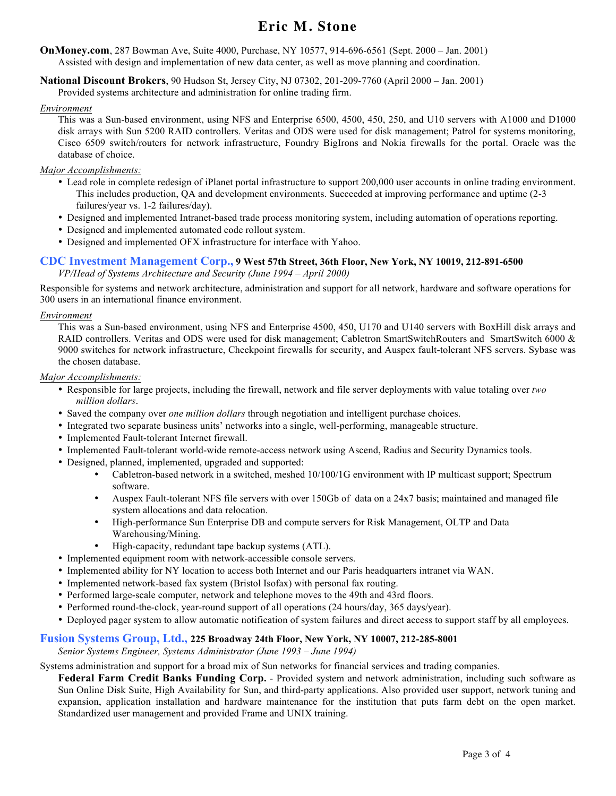**OnMoney.com**, 287 Bowman Ave, Suite 4000, Purchase, NY 10577, 914-696-6561 (Sept. 2000 – Jan. 2001) Assisted with design and implementation of new data center, as well as move planning and coordination.

**National Discount Brokers**, 90 Hudson St, Jersey City, NJ 07302, 201-209-7760 (April 2000 – Jan. 2001)

Provided systems architecture and administration for online trading firm.

#### *Environment*

This was a Sun-based environment, using NFS and Enterprise 6500, 4500, 450, 250, and U10 servers with A1000 and D1000 disk arrays with Sun 5200 RAID controllers. Veritas and ODS were used for disk management; Patrol for systems monitoring, Cisco 6509 switch/routers for network infrastructure, Foundry BigIrons and Nokia firewalls for the portal. Oracle was the database of choice.

#### *Major Accomplishments:*

- Lead role in complete redesign of iPlanet portal infrastructure to support 200,000 user accounts in online trading environment. This includes production, QA and development environments. Succeeded at improving performance and uptime (2-3 failures/year vs. 1-2 failures/day).
- Designed and implemented Intranet-based trade process monitoring system, including automation of operations reporting.
- Designed and implemented automated code rollout system.
- Designed and implemented OFX infrastructure for interface with Yahoo.

# **CDC Investment Management Corp., 9 West 57th Street, 36th Floor, New York, NY 10019, 212-891-6500**

*VP/Head of Systems Architecture and Security (June 1994 – April 2000)*

Responsible for systems and network architecture, administration and support for all network, hardware and software operations for 300 users in an international finance environment.

#### *Environment*

This was a Sun-based environment, using NFS and Enterprise 4500, 450, U170 and U140 servers with BoxHill disk arrays and RAID controllers. Veritas and ODS were used for disk management; Cabletron SmartSwitchRouters and SmartSwitch 6000 & 9000 switches for network infrastructure, Checkpoint firewalls for security, and Auspex fault-tolerant NFS servers. Sybase was the chosen database.

#### *Major Accomplishments:*

- Responsible for large projects, including the firewall, network and file server deployments with value totaling over *two million dollars*.
- Saved the company over *one million dollars* through negotiation and intelligent purchase choices.
- Integrated two separate business units' networks into a single, well-performing, manageable structure.
- Implemented Fault-tolerant Internet firewall.
- Implemented Fault-tolerant world-wide remote-access network using Ascend, Radius and Security Dynamics tools.
- Designed, planned, implemented, upgraded and supported:
	- Cabletron-based network in a switched, meshed 10/100/1G environment with IP multicast support; Spectrum software.
	- Auspex Fault-tolerant NFS file servers with over 150Gb of data on a 24x7 basis; maintained and managed file system allocations and data relocation.
	- High-performance Sun Enterprise DB and compute servers for Risk Management, OLTP and Data Warehousing/Mining.
	- High-capacity, redundant tape backup systems (ATL).
- Implemented equipment room with network-accessible console servers.
- Implemented ability for NY location to access both Internet and our Paris headquarters intranet via WAN.
- Implemented network-based fax system (Bristol Isofax) with personal fax routing.
- Performed large-scale computer, network and telephone moves to the 49th and 43rd floors.
- Performed round-the-clock, year-round support of all operations (24 hours/day, 365 days/year).
- Deployed pager system to allow automatic notification of system failures and direct access to support staff by all employees.

# **Fusion Systems Group, Ltd., 225 Broadway 24th Floor, New York, NY 10007, 212-285-8001**

*Senior Systems Engineer, Systems Administrator (June 1993 – June 1994)*

Systems administration and support for a broad mix of Sun networks for financial services and trading companies.

**Federal Farm Credit Banks Funding Corp.** - Provided system and network administration, including such software as Sun Online Disk Suite, High Availability for Sun, and third-party applications. Also provided user support, network tuning and expansion, application installation and hardware maintenance for the institution that puts farm debt on the open market. Standardized user management and provided Frame and UNIX training.